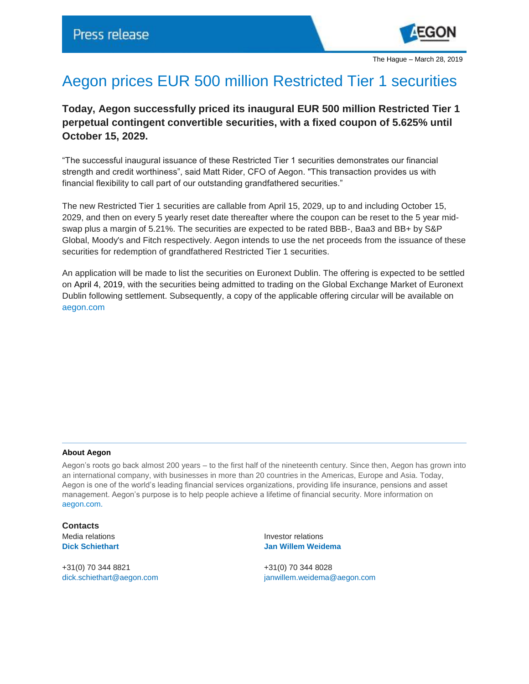

The Hague – March 28, 2019

## Aegon prices EUR 500 million Restricted Tier 1 securities

**Today, Aegon successfully priced its inaugural EUR 500 million Restricted Tier 1 perpetual contingent convertible securities, with a fixed coupon of 5.625% until October 15, 2029.** 

"The successful inaugural issuance of these Restricted Tier 1 securities demonstrates our financial strength and credit worthiness", said Matt Rider, CFO of Aegon. "This transaction provides us with financial flexibility to call part of our outstanding grandfathered securities."

The new Restricted Tier 1 securities are callable from April 15, 2029, up to and including October 15, 2029, and then on every 5 yearly reset date thereafter where the coupon can be reset to the 5 year midswap plus a margin of 5.21%. The securities are expected to be rated BBB-, Baa3 and BB+ by S&P Global, Moody's and Fitch respectively. Aegon intends to use the net proceeds from the issuance of these securities for redemption of grandfathered Restricted Tier 1 securities.

An application will be made to list the securities on Euronext Dublin. The offering is expected to be settled on April 4, 2019, with the securities being admitted to trading on the Global Exchange Market of Euronext Dublin following settlement. Subsequently, a copy of the applicable offering circular will be available on [aegon.com](https://www.aegon.com/en/Home/Investors/Managing-capital/Debt-Programs/Subordinated-Debt-Notes/)

## **About Aegon**

Aegon's roots go back almost 200 years – to the first half of the nineteenth century. Since then, Aegon has grown into an international company, with businesses in more than 20 countries in the Americas, Europe and Asia. Today, Aegon is one of the world's leading financial services organizations, providing life insurance, pensions and asset management. Aegon's purpose is to help people achieve a lifetime of financial security. More information on [aegon.com.](file://rhea/users$/lupmyd1/CitrixFolders/Desktop/Banner/aegon.com/about)

**Contacts**

+31(0) 70 344 8821 +31(0) 70 344 8028

Media relations **Investor relations Dick Schiethart Jan Willem Weidema**

[dick.schiethart@aegon.com](mailto:dick.schiethart@aegon.com) [janwillem.weidema@aegon.com](mailto:janwillem.weidema@aegon.com)